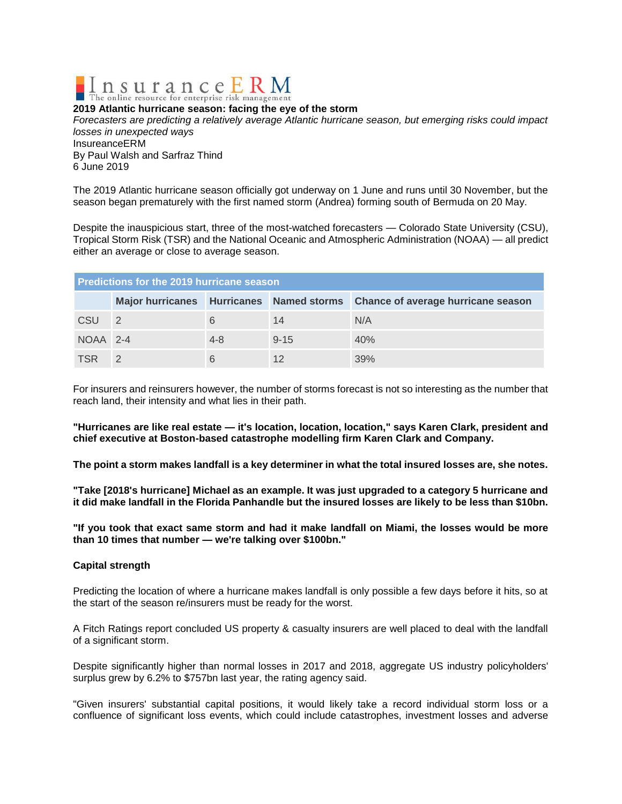

## **2019 Atlantic hurricane season: facing the eye of the storm**

*Forecasters are predicting a relatively average Atlantic hurricane season, but emerging risks could impact losses in unexpected ways* InsureanceERM By Paul Walsh and Sarfraz Thind

6 June 2019

The 2019 Atlantic hurricane season officially got underway on 1 June and runs until 30 November, but the season began prematurely with the first named storm (Andrea) forming south of Bermuda on 20 May.

Despite the inauspicious start, three of the most-watched forecasters — Colorado State University (CSU), Tropical Storm Risk (TSR) and the National Oceanic and Atmospheric Administration (NOAA) — all predict either an average or close to average season.

| Predictions for the 2019 hurricane season |                |         |          |                                                                             |
|-------------------------------------------|----------------|---------|----------|-----------------------------------------------------------------------------|
|                                           |                |         |          | Major hurricanes Hurricanes Named storms Chance of average hurricane season |
| CSU                                       | $\overline{2}$ |         | 14       | N/A                                                                         |
| NOAA 2-4                                  |                | $4 - 8$ | $9 - 15$ | 40%                                                                         |
| <b>TSR</b>                                |                |         | 12       | 39%                                                                         |

For insurers and reinsurers however, the number of storms forecast is not so interesting as the number that reach land, their intensity and what lies in their path.

**"Hurricanes are like real estate — it's location, location, location," says Karen Clark, president and chief executive at Boston-based catastrophe modelling firm Karen Clark and Company.**

**The point a storm makes landfall is a key determiner in what the total insured losses are, she notes.**

**"Take [2018's hurricane] Michael as an example. It was just upgraded to a category 5 hurricane and it did make landfall in the Florida Panhandle but the insured losses are likely to be less than \$10bn.**

**"If you took that exact same storm and had it make landfall on Miami, the losses would be more than 10 times that number — we're talking over \$100bn."**

## **Capital strength**

Predicting the location of where a hurricane makes landfall is only possible a few days before it hits, so at the start of the season re/insurers must be ready for the worst.

A Fitch Ratings report concluded US property & casualty insurers are well placed to deal with the landfall of a significant storm.

Despite significantly higher than normal losses in 2017 and 2018, aggregate US industry policyholders' surplus grew by 6.2% to \$757bn last year, the rating agency said.

"Given insurers' substantial capital positions, it would likely take a record individual storm loss or a confluence of significant loss events, which could include catastrophes, investment losses and adverse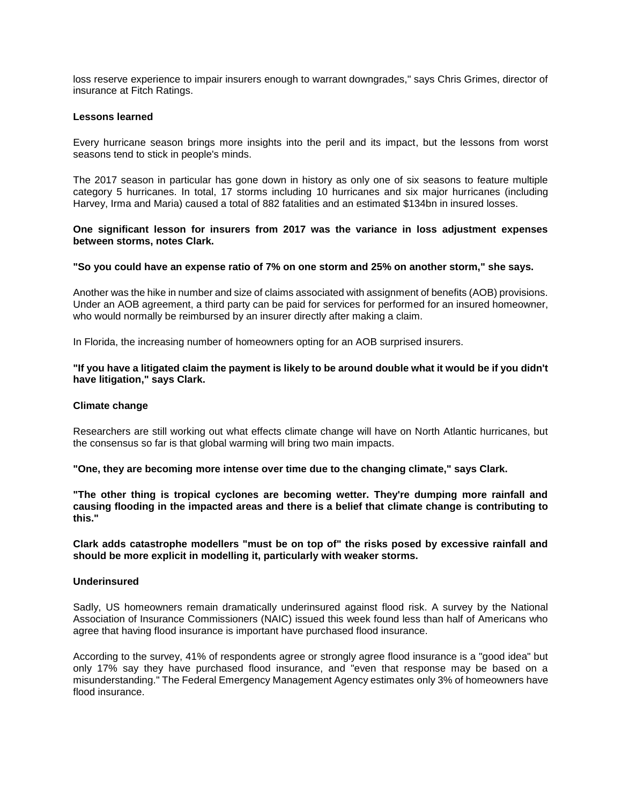loss reserve experience to impair insurers enough to warrant downgrades," says Chris Grimes, director of insurance at Fitch Ratings.

### **Lessons learned**

Every hurricane season brings more insights into the peril and its impact, but the lessons from worst seasons tend to stick in people's minds.

The 2017 season in particular has gone down in history as only one of six seasons to feature multiple category 5 hurricanes. In total, 17 storms including 10 hurricanes and six major hurricanes (including Harvey, Irma and Maria) caused a total of 882 fatalities and an estimated \$134bn in insured losses.

## **One significant lesson for insurers from 2017 was the variance in loss adjustment expenses between storms, notes Clark.**

# **"So you could have an expense ratio of 7% on one storm and 25% on another storm," she says.**

Another was the hike in number and size of claims associated with assignment of benefits (AOB) provisions. Under an AOB agreement, a third party can be paid for services for performed for an insured homeowner, who would normally be reimbursed by an insurer directly after making a claim.

In Florida, the increasing number of homeowners opting for an AOB surprised insurers.

## **"If you have a litigated claim the payment is likely to be around double what it would be if you didn't have litigation," says Clark.**

### **Climate change**

Researchers are still working out what effects climate change will have on North Atlantic hurricanes, but the consensus so far is that global warming will bring two main impacts.

**"One, they are becoming more intense over time due to the changing climate," says Clark.**

**"The other thing is tropical cyclones are becoming wetter. They're dumping more rainfall and causing flooding in the impacted areas and there is a belief that climate change is contributing to this."**

**Clark adds catastrophe modellers "must be on top of" the risks posed by excessive rainfall and should be more explicit in modelling it, particularly with weaker storms.**

#### **Underinsured**

Sadly, US homeowners remain dramatically underinsured against flood risk. A survey by the National Association of Insurance Commissioners (NAIC) issued this week found less than half of Americans who agree that having flood insurance is important have purchased flood insurance.

According to the survey, 41% of respondents agree or strongly agree flood insurance is a "good idea" but only 17% say they have purchased flood insurance, and "even that response may be based on a misunderstanding." The Federal Emergency Management Agency estimates only 3% of homeowners have flood insurance.